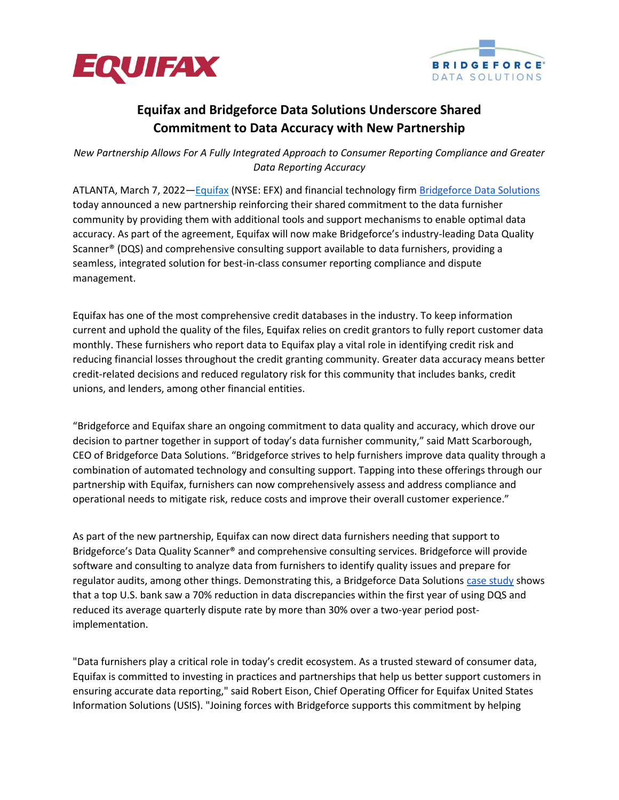



## **Equifax and Bridgeforce Data Solutions Underscore Shared Commitment to Data Accuracy with New Partnership**

*New Partnership Allows For A Fully Integrated Approach to Consumer Reporting Compliance and Greater Data Reporting Accuracy*

ATLANTA, March 7, 2022—[Equifax](https://www.equifax.com/business/) (NYSE: EFX) and financial technology firm [Bridgeforce Data Solutions](https://bridgeforcedatasolutions.com/about-us/) today announced a new partnership reinforcing their shared commitment to the data furnisher community by providing them with additional tools and support mechanisms to enable optimal data accuracy. As part of the agreement, Equifax will now make Bridgeforce's industry-leading Data Quality Scanner® (DQS) and comprehensive consulting support available to data furnishers, providing a seamless, integrated solution for best-in-class consumer reporting compliance and dispute management.

Equifax has one of the most comprehensive credit databases in the industry. To keep information current and uphold the quality of the files, Equifax relies on credit grantors to fully report customer data monthly. These furnishers who report data to Equifax play a vital role in identifying credit risk and reducing financial losses throughout the credit granting community. Greater data accuracy means better credit-related decisions and reduced regulatory risk for this community that includes banks, credit unions, and lenders, among other financial entities.

"Bridgeforce and Equifax share an ongoing commitment to data quality and accuracy, which drove our decision to partner together in support of today's data furnisher community," said Matt Scarborough, CEO of Bridgeforce Data Solutions. "Bridgeforce strives to help furnishers improve data quality through a combination of automated technology and consulting support. Tapping into these offerings through our partnership with Equifax, furnishers can now comprehensively assess and address compliance and operational needs to mitigate risk, reduce costs and improve their overall customer experience."

As part of the new partnership, Equifax can now direct data furnishers needing that support to Bridgeforce's Data Quality Scanner® and comprehensive consulting services. Bridgeforce will provide software and consulting to analyze data from furnishers to identify quality issues and prepare for regulator audits, among other things. Demonstrating this, a Bridgeforce Data Solution[s case study](https://bridgeforcedatasolutions.com/large-us-bank-achieves-30-reduction-in-average-quarterly-dispute-rate-after-using-data-quality-scanner/) shows that a top U.S. bank saw a 70% reduction in data discrepancies within the first year of using DQS and reduced its average quarterly dispute rate by more than 30% over a two-year period postimplementation.

"Data furnishers play a critical role in today's credit ecosystem. As a trusted steward of consumer data, Equifax is committed to investing in practices and partnerships that help us better support customers in ensuring accurate data reporting," said Robert Eison, Chief Operating Officer for Equifax United States Information Solutions (USIS). "Joining forces with Bridgeforce supports this commitment by helping